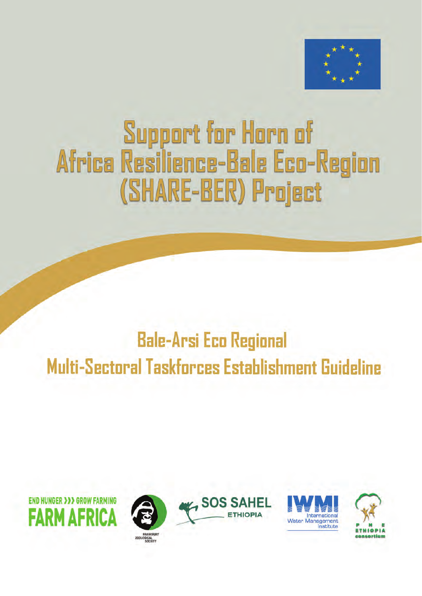

# **Support for Horn of** Africa Resilience-Bale Eco-Region (SHARE-BER) Project

## **Bale-Arsi Eco Regional** Multi-Sectoral Taskforces Establishment Guideline









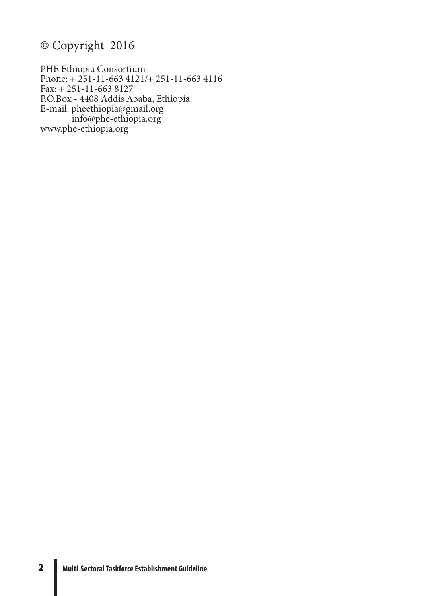### © Copyright 2016

PHE Ethiopia Consortium Phone: + 251-11-663 4121/+ 251-11-663 4116 Fax: + 251-11-663 8127 P.O.Box - 4408 Addis Ababa, Ethiopia. E-mail: pheethiopia@gmail.org info@phe-ethiopia.org www.phe-ethiopia.org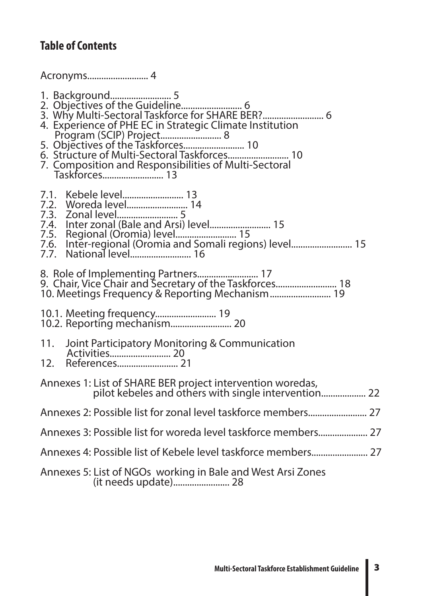### **Table of Contents**

Acronyms.......................... 4

1. Background.......................... 5 2. Objectives of the Guideline.......................... 6 3. Why Multi-Sectoral Taskforce for SHARE BER?.......................... 6 4. Experience of PHE EC in Strategic Climate Institution Program (SCIP) Project.......................... 8 5. Objectives of the Taskforces........................... 10 6. Structure of Multi-Sectoral Taskforces.......................... 10 7. Composition and Responsibilities of Multi-Sectoral Taskforces.......................... 13 7.1. Kebele level.......................... 13 7.2. Woreda level.......................... 14 7.3. Zonal level.......................... 5 7.4. Inter zonal (Bale and Arsi) level.......................... 15 7.5. Regional (Oromia) level.......................... 15 7.6. Inter-regional (Oromia and Somali regions) level.......................... 15 7.7. National level.......................... 16 8. Role of Implementing Partners.......................... 17 9. Chair, Vice Chair and Secretary of the Taskforces............................ 18 10. Meetings Frequency & Reporting Mechanism.......................... 19 10.1. Meeting frequency.............................. 19<br>10.2. Reporting mechanism............................. 20 11. Joint Participatory Monitoring & Communication Activities.......................... 20 12. References.......................... 21 Annexes 1: List of SHARE BER project intervention woredas, pilot kebeles and others with single intervention................................ Annexes 2: Possible list for zonal level taskforce members......................... 27 Annexes 3: Possible list for woreda level taskforce members..................... 27 Annexes 4: Possible list of Kebele level taskforce members........................ 27 Annexes 5: List of NGOs working in Bale and West Arsi Zones

(it needs update)........................ 28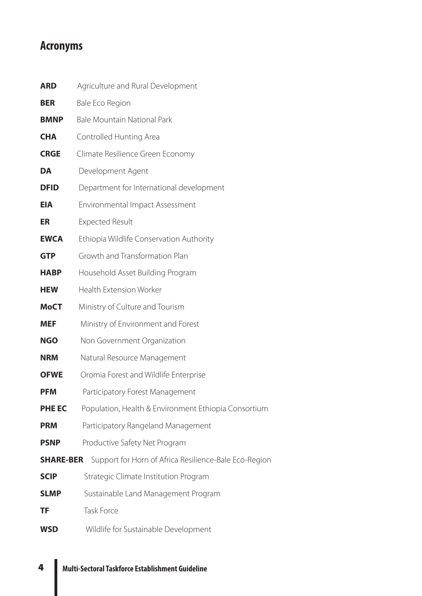### **Acronyms**

| <b>ARD</b>       | Agriculture and Rural Development                     |
|------------------|-------------------------------------------------------|
| <b>BER</b>       | <b>Bale Eco Region</b>                                |
| <b>BMNP</b>      | <b>Bale Mountain National Park</b>                    |
| <b>CHA</b>       | Controlled Hunting Area                               |
| <b>CRGE</b>      | Climate Resilience Green Economy                      |
| DA               | Development Agent                                     |
| <b>DFID</b>      | Department for International development              |
| <b>EIA</b>       | Environmental Impact Assessment                       |
| <b>ER</b>        | <b>Expected Result</b>                                |
| <b>EWCA</b>      | Ethiopia Wildlife Conservation Authority              |
| <b>GTP</b>       | Growth and Transformation Plan                        |
| <b>HABP</b>      | Household Asset Building Program                      |
| <b>HEW</b>       | <b>Health Extension Worker</b>                        |
| <b>MoCT</b>      | Ministry of Culture and Tourism                       |
| <b>MEF</b>       | Ministry of Environment and Forest                    |
| <b>NGO</b>       | Non Government Organization                           |
| <b>NRM</b>       | Natural Resource Management                           |
| <b>OFWE</b>      | Oromia Forest and Wildlife Enterprise                 |
| <b>PFM</b>       | Participatory Forest Management                       |
| <b>PHE EC</b>    | Population, Health & Environment Ethiopia Consortium  |
| <b>PRM</b>       | Participatory Rangeland Management                    |
| <b>PSNP</b>      | Productive Safety Net Program                         |
| <b>SHARE-BER</b> | Support for Horn of Africa Resilience-Bale Eco-Region |
| <b>SCIP</b>      | Strategic Climate Institution Program                 |
| <b>SLMP</b>      | Sustainable Land Management Program                   |
| ΤF               | <b>Task Force</b>                                     |
| <b>WSD</b>       | Wildlife for Sustainable Development                  |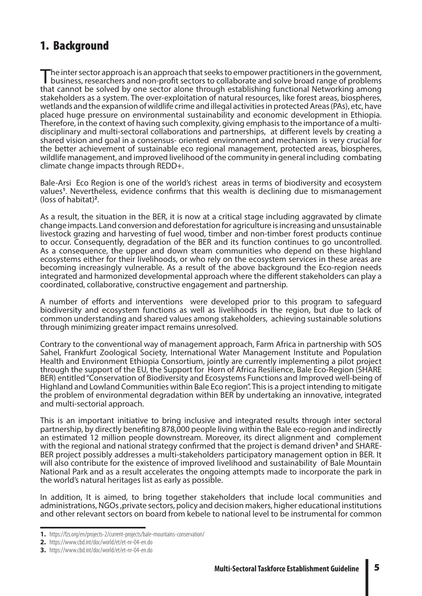### 1. Background

The inter sector approach is an approach that seeks to empower practitioners in the government,<br>business, researchers and non-profit sectors to collaborate and solve broad range of problems that cannot be solved by one sector alone through establishing functional Networking among stakeholders as a system. The over-exploitation of natural resources, like forest areas, biospheres, wetlands and the expansion of wildlife crime and illegal activities in protected Areas (PAs), etc, have placed huge pressure on environmental sustainability and economic development in Ethiopia. Therefore, in the context of having such complexity, giving emphasis to the importance of a multidisciplinary and multi-sectoral collaborations and partnerships, at different levels by creating a shared vision and goal in a consensus- oriented environment and mechanism is very crucial for the better achievement of sustainable eco regional management, protected areas, biospheres, wildlife management, and improved livelihood of the community in general including combating climate change impacts through REDD+.

Bale-Arsi Eco Region is one of the world's richest areas in terms of biodiversity and ecosystem values**<sup>1</sup>** . Nevertheless, evidence confirms that this wealth is declining due to mismanagement (loss of habitat)**<sup>2</sup>** .

As a result, the situation in the BER, it is now at a critical stage including aggravated by climate change impacts. Land conversion and deforestation for agriculture is increasing and unsustainable livestock grazing and harvesting of fuel wood, timber and non-timber forest products continue to occur. Consequently, degradation of the BER and its function continues to go uncontrolled. As a consequence, the upper and down steam communities who depend on these highland ecosystems either for their livelihoods, or who rely on the ecosystem services in these areas are becoming increasingly vulnerable. As a result of the above background the Eco-region needs integrated and harmonized developmental approach where the different stakeholders can play a coordinated, collaborative, constructive engagement and partnership.

A number of efforts and interventions were developed prior to this program to safeguard biodiversity and ecosystem functions as well as livelihoods in the region, but due to lack of common understanding and shared values among stakeholders, achieving sustainable solutions through minimizing greater impact remains unresolved.

Contrary to the conventional way of management approach, Farm Africa in partnership with SOS Sahel, Frankfurt Zoological Society, International Water Management Institute and Population Health and Environment Ethiopia Consortium, jointly are currently implementing a pilot project through the support of the EU, the Support for Horn of Africa Resilience, Bale Eco-Region (SHARE BER) entitled "Conservation of Biodiversity and Ecosystems Functions and Improved well-being of Highland and Lowland Communities within Bale Eco region". This is a project intending to mitigate the problem of environmental degradation within BER by undertaking an innovative, integrated and multi-sectorial approach.

This is an important initiative to bring inclusive and integrated results through inter sectoral partnership, by directly benefiting 878,000 people living within the Bale eco-region and indirectly an estimated 12 million people downstream. Moreover, its direct alignment and complement with the regional and national strategy confirmed that the project is demand driven<sup>3</sup> and SHARE-BER project possibly addresses a multi-stakeholders participatory management option in BER. It will also contribute for the existence of improved livelihood and sustainability of Bale Mountain National Park and as a result accelerates the ongoing attempts made to incorporate the park in the world's natural heritages list as early as possible.

In addition, It is aimed, to bring together stakeholders that include local communities and administrations, NGOs ,private sectors, policy and decision makers, higher educational institutions and other relevant sectors on board from kebele to national level to be instrumental for common

**<sup>1.</sup>** https://fzs.org/en/projects-2/current-projects/bale-mountains-conservation/

**<sup>2.</sup>** https://www.cbd.int/doc/world/et/et-nr-04-en.do

**<sup>3.</sup>** https://www.cbd.int/doc/world/et/et-nr-04-en.do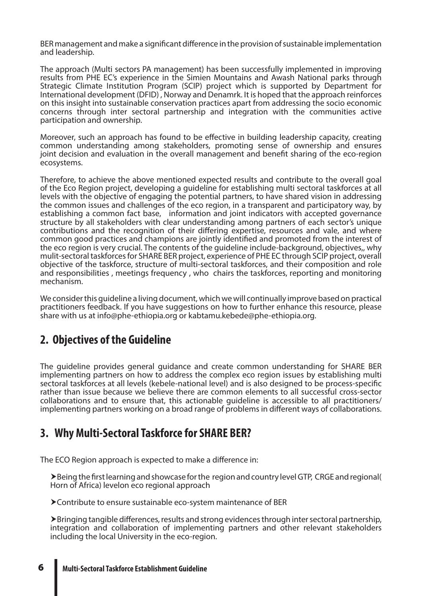BER management and make a significant difference in the provision of sustainable implementation and leadership.

The approach (Multi sectors PA management) has been successfully implemented in improving results from PHE EC's experience in the Simien Mountains and Awash National parks through Strategic Climate Institution Program (SCIP) project which is supported by Department for International development (DFID) , Norway and Denamrk. It is hoped that the approach reinforces on this insight into sustainable conservation practices apart from addressing the socio economic concerns through inter sectoral partnership and integration with the communities active participation and ownership.

Moreover, such an approach has found to be effective in building leadership capacity, creating common understanding among stakeholders, promoting sense of ownership and ensures joint decision and evaluation in the overall management and benefit sharing of the eco-region ecosystems.

Therefore, to achieve the above mentioned expected results and contribute to the overall goal of the Eco Region project, developing a guideline for establishing multi sectoral taskforces at all levels with the objective of engaging the potential partners, to have shared vision in addressing the common issues and challenges of the eco region, in a transparent and participatory way, by establishing a common fact base, information and joint indicators with accepted governance structure by all stakeholders with clear understanding among partners of each sector's unique contributions and the recognition of their differing expertise, resources and vale, and where common good practices and champions are jointly identified and promoted from the interest of the eco region is very crucial. The contents of the guideline include-background, objectives,, why mulit-sectoral taskforces for SHARE BER project, experience of PHE EC through SCIP project, overall objective of the taskforce, structure of multi-sectoral taskforces, and their composition and role and responsibilities , meetings frequency , who chairs the taskforces, reporting and monitoring mechanism.

We consider this guideline a living document, which we will continually improve based on practical practitioners feedback. If you have suggestions on how to further enhance this resource, please share with us at info@phe-ethiopia.org or kabtamu.kebede@phe-ethiopia.org.

### **2. Objectives of the Guideline**

The guideline provides general guidance and create common understanding for SHARE BER implementing partners on how to address the complex eco region issues by establishing multi sectoral taskforces at all levels (kebele-national level) and is also designed to be process-specific rather than issue because we believe there are common elements to all successful cross-sector collaborations and to ensure that, this actionable guideline is accessible to all practitioners/ implementing partners working on a broad range of problems in different ways of collaborations.

### **3. Why Multi-Sectoral Taskforce for SHARE BER?**

The ECO Region approach is expected to make a difference in:

Being the first learning and showcase for the region and country level GTP, CRGE and regional( Horn of Africa) levelon eco regional approach

Contribute to ensure sustainable eco-system maintenance of BER

Bringing tangible differences, results and strong evidences through inter sectoral partnership, integration and collaboration of implementing partners and other relevant stakeholders including the local University in the eco-region.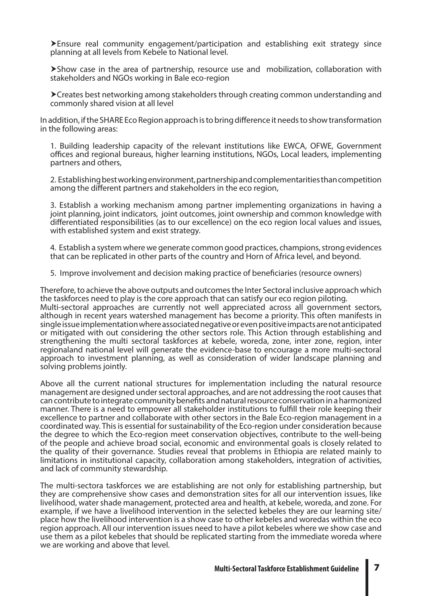Ensure real community engagement/participation and establishing exit strategy since planning at all levels from Kebele to National level.

Show case in the area of partnership, resource use and mobilization, collaboration with stakeholders and NGOs working in Bale eco-region

Creates best networking among stakeholders through creating common understanding and commonly shared vision at all level

In addition, if the SHARE Eco Region approach is to bring difference it needs to show transformation in the following areas:

1. Building leadership capacity of the relevant institutions like EWCA, OFWE, Government offices and regional bureaus, higher learning institutions, NGOs, Local leaders, implementing partners and others,

2. Establishing best working environment, partnership and complementarities than competition among the different partners and stakeholders in the eco region,

3. Establish a working mechanism among partner implementing organizations in having a joint planning, joint indicators, joint outcomes, joint ownership and common knowledge with differentiated responsibilities (as to our excellence) on the eco region local values and issues, with established system and exist strategy.

4. Establish a system where we generate common good practices, champions, strong evidences that can be replicated in other parts of the country and Horn of Africa level, and beyond.

5. Improve involvement and decision making practice of beneficiaries (resource owners)

Therefore, to achieve the above outputs and outcomes the Inter Sectoral inclusive approach which the taskforces need to play is the core approach that can satisfy our eco region piloting. Multi-sectoral approaches are currently not well appreciated across all government sectors, although in recent years watershed management has become a priority. This often manifests in single issue implementation where associated negative or even positive impacts are not anticipated or mitigated with out considering the other sectors role. This Action through establishing and strengthening the multi sectoral taskforces at kebele, woreda, zone, inter zone, region, inter regionaland national level will generate the evidence-base to encourage a more multi-sectoral approach to investment planning, as well as consideration of wider landscape planning and solving problems jointly.

Above all the current national structures for implementation including the natural resource management are designed under sectoral approaches, and are not addressing the root causes that can contribute to integrate community benefits and natural resource conservation in a harmonized manner. There is a need to empower all stakeholder institutions to fulfill their role keeping their excellence to partner and collaborate with other sectors in the Bale Eco-region management in a coordinated way. This is essential for sustainability of the Eco-region under consideration because the degree to which the Eco-region meet conservation objectives, contribute to the well-being of the people and achieve broad social, economic and environmental goals is closely related to the quality of their governance. Studies reveal that problems in Ethiopia are related mainly to limitations in institutional capacity, collaboration among stakeholders, integration of activities, and lack of community stewardship.

The multi-sectora taskforces we are establishing are not only for establishing partnership, but they are comprehensive show cases and demonstration sites for all our intervention issues, like livelihood, water shade management, protected area and health, at kebele, woreda, and zone. For example, if we have a livelihood intervention in the selected kebeles they are our learning site/ place how the livelihood intervention is a show case to other kebeles and woredas within the eco region approach. All our intervention issues need to have a pilot kebeles where we show case and use them as a pilot kebeles that should be replicated starting from the immediate woreda where we are working and above that level.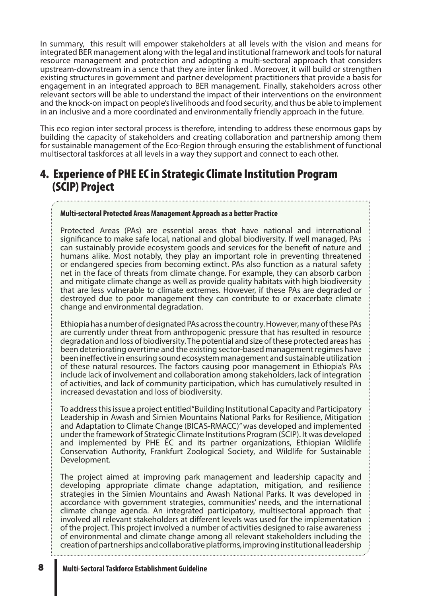In summary, this result will empower stakeholders at all levels with the vision and means for integrated BER management along with the legal and institutional framework and tools for natural resource management and protection and adopting a multi-sectoral approach that considers upstream-downstream in a sence that they are inter linked . Moreover, it will build or strengthen existing structures in government and partner development practitioners that provide a basis for engagement in an integrated approach to BER management. Finally, stakeholders across other relevant sectors will be able to understand the impact of their interventions on the environment and the knock-on impact on people's livelihoods and food security, and thus be able to implement in an inclusive and a more coordinated and environmentally friendly approach in the future.

This eco region inter sectoral process is therefore, intending to address these enormous gaps by building the capacity of stakeholders and creating collaboration and partnership among them for sustainable management of the Eco-Region through ensuring the establishment of functional multisectoral taskforces at all levels in a way they support and connect to each other.

### 4. Experience of PHE EC in Strategic Climate Institution Program (SCIP) Project

#### **Multi-sectoral Protected Areas Management Approach as a better Practice**

Protected Areas (PAs) are essential areas that have national and international significance to make safe local, national and global biodiversity. If well managed, PAs can sustainably provide ecosystem goods and services for the benefit of nature and humans alike. Most notably, they play an important role in preventing threatened or endangered species from becoming extinct. PAs also function as a natural safety net in the face of threats from climate change. For example, they can absorb carbon and mitigate climate change as well as provide quality habitats with high biodiversity that are less vulnerable to climate extremes. However, if these PAs are degraded or destroyed due to poor management they can contribute to or exacerbate climate change and environmental degradation.

Ethiopia has a number of designated PAs across the country. However, many of these PAs are currently under threat from anthropogenic pressure that has resulted in resource degradation and loss of biodiversity. The potential and size of these protected areas has been deteriorating overtime and the existing sector-based management regimes have been ineffective in ensuring sound ecosystem management and sustainable utilization of these natural resources. The factors causing poor management in Ethiopia's PAs include lack of involvement and collaboration among stakeholders, lack of integration of activities, and lack of community participation, which has cumulatively resulted in increased devastation and loss of biodiversity.

To address this issue a project entitled "Building Institutional Capacity and Participatory Leadership in Awash and Simien Mountains National Parks for Resilience, Mitigation and Adaptation to Climate Change (BICAS-RMACC)'' was developed and implemented under the framework of Strategic Climate Institutions Program (SCIP). It was developed and implemented by PHE EC and its partner organizations, Ethiopian Wildlife Conservation Authority, Frankfurt Zoological Society, and Wildlife for Sustainable Development.

The project aimed at improving park management and leadership capacity and developing appropriate climate change adaptation, mitigation, and resilience strategies in the Simien Mountains and Awash National Parks. It was developed in accordance with government strategies, communities' needs, and the international climate change agenda. An integrated participatory, multisectoral approach that involved all relevant stakeholders at different levels was used for the implementation of the project. This project involved a number of activities designed to raise awareness of environmental and climate change among all relevant stakeholders including the creation of partnerships and collaborative platforms, improving institutional leadership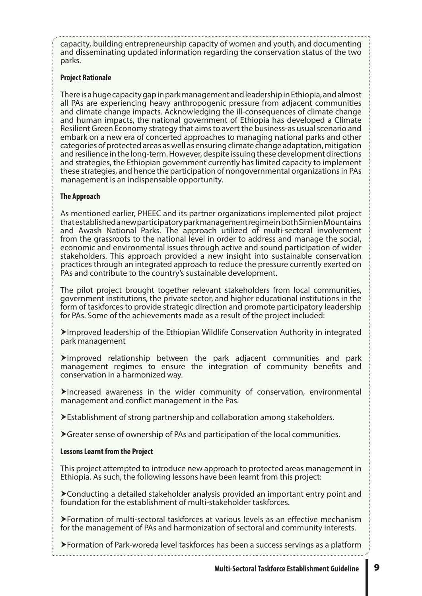capacity, building entrepreneurship capacity of women and youth, and documenting and disseminating updated information regarding the conservation status of the two parks.

#### **Project Rationale**

There is a huge capacity gap in park management and leadership in Ethiopia, and almost all PAs are experiencing heavy anthropogenic pressure from adjacent communities and climate change impacts. Acknowledging the ill-consequences of climate change and human impacts, the national government of Ethiopia has developed a Climate Resilient Green Economy strategy that aims to avert the business-as usual scenario and embark on a new era of concerted approaches to managing national parks and other categories of protected areas as well as ensuring climate change adaptation, mitigation and resilience in the long-term. However, despite issuing these development directions and strategies, the Ethiopian government currently has limited capacity to implement these strategies, and hence the participation of nongovernmental organizations in PAs management is an indispensable opportunity.

### **The Approach**

As mentioned earlier, PHEEC and its partner organizations implemented pilot project that established a new participatory park management regime in both Simien Mountains and Awash National Parks. The approach utilized of multi-sectoral involvement from the grassroots to the national level in order to address and manage the social, economic and environmental issues through active and sound participation of wider stakeholders. This approach provided a new insight into sustainable conservation practices through an integrated approach to reduce the pressure currently exerted on PAs and contribute to the country's sustainable development.

The pilot project brought together relevant stakeholders from local communities, government institutions, the private sector, and higher educational institutions in the form of taskforces to provide strategic direction and promote participatory leadership for PAs. Some of the achievements made as a result of the project included:

Improved leadership of the Ethiopian Wildlife Conservation Authority in integrated park management

Improved relationship between the park adjacent communities and park management regimes to ensure the integration of community benefits and conservation in a harmonized way.

 $\blacktriangleright$ Increased awareness in the wider community of conservation, environmental management and conflict management in the Pas.

Establishment of strong partnership and collaboration among stakeholders.

Greater sense of ownership of PAs and participation of the local communities.

#### **Lessons Learnt from the Project**

This project attempted to introduce new approach to protected areas management in Ethiopia. As such, the following lessons have been learnt from this project:

Conducting a detailed stakeholder analysis provided an important entry point and foundation for the establishment of multi-stakeholder taskforces.

Formation of multi-sectoral taskforces at various levels as an effective mechanism for the management of PAs and harmonization of sectoral and community interests.

Formation of Park-woreda level taskforces has been a success servings as a platform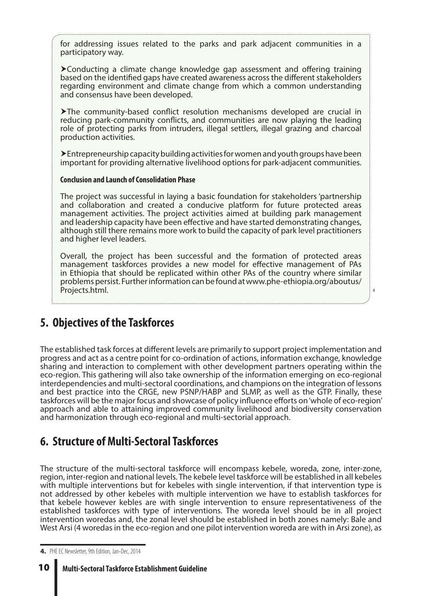for addressing issues related to the parks and park adjacent communities in a participatory way.

Conducting a climate change knowledge gap assessment and offering training based on the identified gaps have created awareness across the different stakeholders regarding environment and climate change from which a common understanding and consensus have been developed.

The community-based conflict resolution mechanisms developed are crucial in reducing park-community conflicts, and communities are now playing the leading role of protecting parks from intruders, illegal settlers, illegal grazing and charcoal production activities.

Entrepreneurship capacity building activities for women and youth groups have been important for providing alternative livelihood options for park-adjacent communities.

#### **Conclusion and Launch of Consolidation Phase**

The project was successful in laying a basic foundation for stakeholders 'partnership and collaboration and created a conducive platform for future protected areas management activities. The project activities aimed at building park management and leadership capacity have been effective and have started demonstrating changes, although still there remains more work to build the capacity of park level practitioners and higher level leaders.

Overall, the project has been successful and the formation of protected areas management taskforces provides a new model for effective management of PAs in Ethiopia that should be replicated within other PAs of the country where similar problems persist. Further information can be found at www.phe-ethiopia.org/aboutus/ Projects.html.

4

### **5. Objectives of the Taskforces**

The established task forces at different levels are primarily to support project implementation and progress and act as a centre point for co-ordination of actions, information exchange, knowledge sharing and interaction to complement with other development partners operating within the eco-region. This gathering will also take ownership of the information emerging on eco-regional interdependencies and multi-sectoral coordinations, and champions on the integration of lessons and best practice into the CRGE, new PSNP/HABP and SLMP, as well as the GTP. Finally, these taskforces will be the major focus and showcase of policy influence efforts on 'whole of eco-region' approach and able to attaining improved community livelihood and biodiversity conservation and harmonization through eco-regional and multi-sectorial approach.

### **6. Structure of Multi-Sectoral Taskforces**

The structure of the multi-sectoral taskforce will encompass kebele, woreda, zone, inter-zone, region, inter-region and national levels. The kebele level taskforce will be established in all kebeles with multiple interventions but for kebeles with single intervention, if that intervention type is not addressed by other kebeles with multiple intervention we have to establish taskforces for that kebele however kebles are with single intervention to ensure representativeness of the established taskforces with type of interventions. The woreda level should be in all project intervention woredas and, the zonal level should be established in both zones namely: Bale and West Arsi (4 woredas in the eco-region and one pilot intervention woreda are with in Arsi zone), as

**<sup>4.</sup>** PHE EC Newsletter, 9th Edition, Jan-Dec, 2014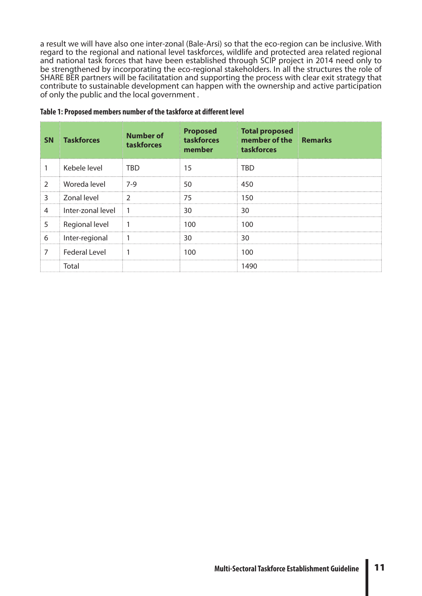a result we will have also one inter-zonal (Bale-Arsi) so that the eco-region can be inclusive. With regard to the regional and national level taskforces, wildlife and protected area related regional and national task forces that have been established through SCIP project in 2014 need only to be strengthened by incorporating the eco-regional stakeholders. In all the structures the role of SHARE BER partners will be facilitatation and supporting the process with clear exit strategy that contribute to sustainable development can happen with the ownership and active participation of only the public and the local government .

| <b>SN</b>      | <b>Taskforces</b>    | <b>Number of</b><br>taskforces | <b>Proposed</b><br>taskforces<br>member | <b>Total proposed</b><br>member of the Remarks<br>taskforces |  |
|----------------|----------------------|--------------------------------|-----------------------------------------|--------------------------------------------------------------|--|
|                | Kebele level         | <b>TRD</b>                     | 15                                      | TRD                                                          |  |
| $\overline{2}$ | Woreda level         | 7-9                            | 50                                      | 450                                                          |  |
| 3              | Zonal level          | $\mathcal{P}$                  | 75                                      | 150                                                          |  |
| 4              | Inter-zonal level    | $\overline{1}$                 | 30                                      | 30                                                           |  |
| 5              | Regional level       |                                | 100                                     | 100                                                          |  |
| 6              | Inter-regional       |                                | 30                                      | 30                                                           |  |
| 7              | <b>Federal Level</b> |                                | 100                                     | 100                                                          |  |
|                | Total                |                                |                                         | 1490                                                         |  |

#### **Table 1: Proposed members number of the taskforce at different level**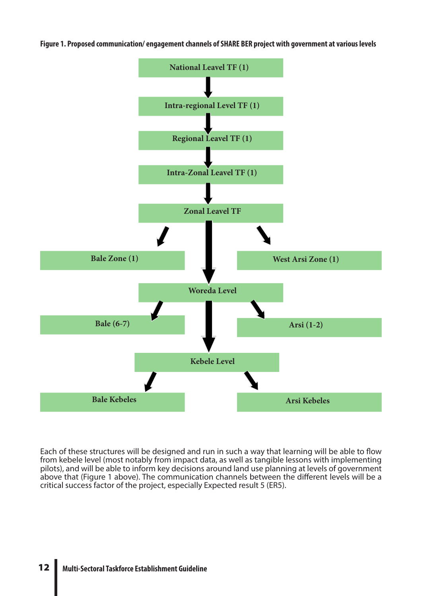**Figure 1. Proposed communication/ engagement channels of SHARE BER project with government at various levels**



Each of these structures will be designed and run in such a way that learning will be able to flow from kebele level (most notably from impact data, as well as tangible lessons with implementing pilots), and will be able to inform key decisions around land use planning at levels of government above that (Figure 1 above). The communication channels between the different levels will be a critical success factor of the project, especially Expected result 5 (ER5).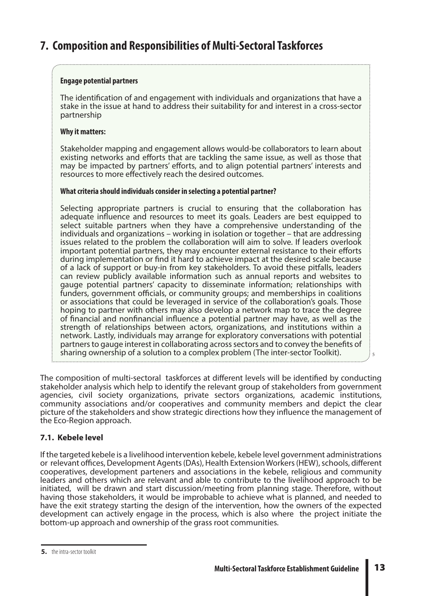### **7. Composition and Responsibilities of Multi-Sectoral Taskforces**

#### **Engage potential partners**

The identification of and engagement with individuals and organizations that have a stake in the issue at hand to address their suitability for and interest in a cross-sector partnership

#### **Why it matters:**

Stakeholder mapping and engagement allows would-be collaborators to learn about existing networks and efforts that are tackling the same issue, as well as those that may be impacted by partners' efforts, and to align potential partners' interests and resources to more effectively reach the desired outcomes.

#### **What criteria should individuals consider in selecting a potential partner?**

Selecting appropriate partners is crucial to ensuring that the collaboration has adequate influence and resources to meet its goals. Leaders are best equipped to select suitable partners when they have a comprehensive understanding of the individuals and organizations – working in isolation or together – that are addressing issues related to the problem the collaboration will aim to solve. If leaders overlook important potential partners, they may encounter external resistance to their efforts during implementation or find it hard to achieve impact at the desired scale because of a lack of support or buy-in from key stakeholders. To avoid these pitfalls, leaders can review publicly available information such as annual reports and websites to gauge potential partners' capacity to disseminate information; relationships with funders, government officials, or community groups; and memberships in coalitions or associations that could be leveraged in service of the collaboration's goals. Those hoping to partner with others may also develop a network map to trace the degree of financial and nonfinancial influence a potential partner may have, as well as the strength of relationships between actors, organizations, and institutions within a network. Lastly, individuals may arrange for exploratory conversations with potential partners to gauge interest in collaborating across sectors and to convey the benefits of sharing ownership of a solution to a complex problem (The inter-sector Toolkit).

The composition of multi-sectoral taskforces at different levels will be identified by conducting stakeholder analysis which help to identify the relevant group of stakeholders from government agencies, civil society organizations, private sectors organizations, academic institutions, community associations and/or cooperatives and community members and depict the clear picture of the stakeholders and show strategic directions how they influence the management of the Eco-Region approach.

#### **7.1. Kebele level**

If the targeted kebele is a livelihood intervention kebele, kebele level government administrations or relevant offices, Development Agents (DAs), Health Extension Workers (HEW), schools, different cooperatives, development parteners and associations in the kebele, religious and community leaders and others which are relevant and able to contribute to the livelihood approach to be initiated, will be drawn and start discussion/meeting from planning stage. Therefore, without having those stakeholders, it would be improbable to achieve what is planned, and needed to have the exit strategy starting the design of the intervention, how the owners of the expected development can actively engage in the process, which is also where the project initiate the bottom-up approach and ownership of the grass root communities.

 $\frac{1}{2}$  5

**<sup>5.</sup>** the intra-sector toolkit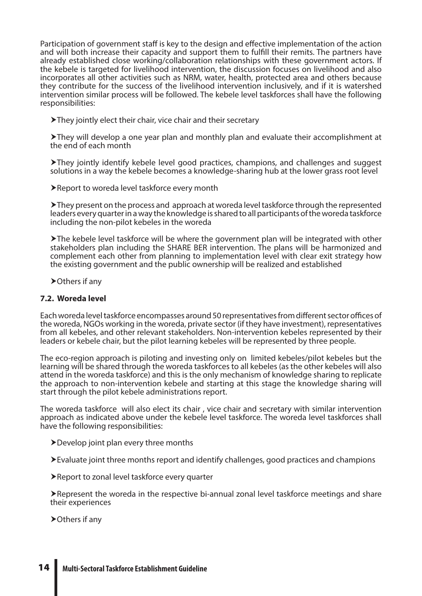Participation of government staff is key to the design and effective implementation of the action and will both increase their capacity and support them to fulfill their remits. The partners have already established close working/collaboration relationships with these government actors. If the kebele is targeted for livelihood intervention, the discussion focuses on livelihood and also incorporates all other activities such as NRM, water, health, protected area and others because they contribute for the success of the livelihood intervention inclusively, and if it is watershed intervention similar process will be followed. The kebele level taskforces shall have the following responsibilities:

They jointly elect their chair, vice chair and their secretary

They will develop a one year plan and monthly plan and evaluate their accomplishment at the end of each month

They jointly identify kebele level good practices, champions, and challenges and suggest solutions in a way the kebele becomes a knowledge-sharing hub at the lower grass root level

▶ Report to woreda level taskforce every month

They present on the process and approach at woreda level taskforce through the represented leaders every quarter in a way the knowledge is shared to all participants of the woreda taskforce including the non-pilot kebeles in the woreda

The kebele level taskforce will be where the government plan will be integrated with other stakeholders plan including the SHARE BER intervention. The plans will be harmonized and complement each other from planning to implementation level with clear exit strategy how the existing government and the public ownership will be realized and established

**≻Others if any** 

#### **7.2. Woreda level**

Each woreda level taskforce encompasses around 50 representatives from different sector offices of the woreda, NGOs working in the woreda, private sector (if they have investment), representatives from all kebeles, and other relevant stakeholders. Non-intervention kebeles represented by their leaders or kebele chair, but the pilot learning kebeles will be represented by three people.

The eco-region approach is piloting and investing only on limited kebeles/pilot kebeles but the learning will be shared through the woreda taskforces to all kebeles (as the other kebeles will also attend in the woreda taskforce) and this is the only mechanism of knowledge sharing to replicate the approach to non-intervention kebele and starting at this stage the knowledge sharing will start through the pilot kebele administrations report.

The woreda taskforce will also elect its chair , vice chair and secretary with similar intervention approach as indicated above under the kebele level taskforce. The woreda level taskforces shall have the following responsibilities:

- Develop joint plan every three months
- Evaluate joint three months report and identify challenges, good practices and champions
- Report to zonal level taskforce every quarter

Represent the woreda in the respective bi-annual zonal level taskforce meetings and share their experiences

▶ Others if any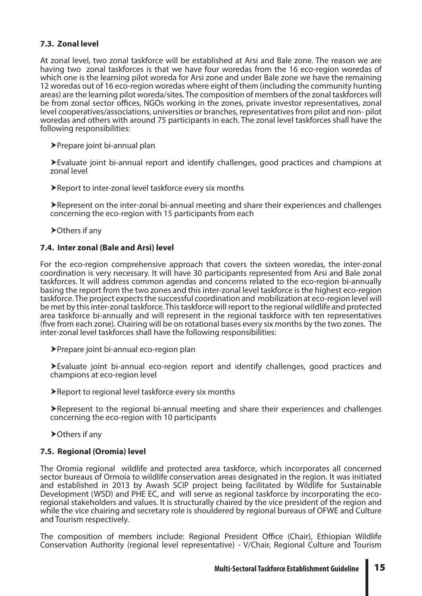#### **7.3. Zonal level**

At zonal level, two zonal taskforce will be established at Arsi and Bale zone. The reason we are having two zonal taskforces is that we have four woredas from the 16 eco-region woredas of which one is the learning pilot woreda for Arsi zone and under Bale zone we have the remaining 12 woredas out of 16 eco-region woredas where eight of them (including the community hunting areas) are the learning pilot woreda/sites. The composition of members of the zonal taskforces will be from zonal sector offices, NGOs working in the zones, private investor representatives, zonal level cooperatives/associations, universities or branches, representatives from pilot and non- pilot woredas and others with around 75 participants in each. The zonal level taskforces shall have the following responsibilities:

Prepare joint bi-annual plan

Evaluate joint bi-annual report and identify challenges, good practices and champions at zonal level

Report to inter-zonal level taskforce every six months

Represent on the inter-zonal bi-annual meeting and share their experiences and challenges concerning the eco-region with 15 participants from each

▶ Others if any

#### **7.4. Inter zonal (Bale and Arsi) level**

For the eco-region comprehensive approach that covers the sixteen woredas, the inter-zonal coordination is very necessary. It will have 30 participants represented from Arsi and Bale zonal taskforces. It will address common agendas and concerns related to the eco-region bi-annually basing the report from the two zones and this inter-zonal level taskforce is the highest eco-region taskforce. The project expects the successful coordination and mobilization at eco-region level will be met by this inter-zonal taskforce. This taskforce will report to the regional wildlife and protected area taskforce bi-annually and will represent in the regional taskforce with ten representatives (five from each zone). Chairing will be on rotational bases every six months by the two zones. The inter-zonal level taskforces shall have the following responsibilities:

Prepare joint bi-annual eco-region plan

Evaluate joint bi-annual eco-region report and identify challenges, good practices and champions at eco-region level

Report to regional level taskforce every six months

Represent to the regional bi-annual meeting and share their experiences and challenges concerning the eco-region with 10 participants

▶ Others if any

#### **7.5. Regional (Oromia) level**

The Oromia regional wildlife and protected area taskforce, which incorporates all concerned sector bureaus of Ormoia to wildlife conservation areas designated in the region. It was initiated and established in 2013 by Awash SCIP project being facilitated by Wildlife for Sustainable Development (WSD) and PHE EC, and will serve as regional taskforce by incorporating the ecoregional stakeholders and values. It is structurally chaired by the vice president of the region and while the vice chairing and secretary role is shouldered by regional bureaus of OFWE and Culture and Tourism respectively.

The composition of members include: Regional President Office (Chair), Ethiopian Wildlife Conservation Authority (regional level representative) - V/Chair, Regional Culture and Tourism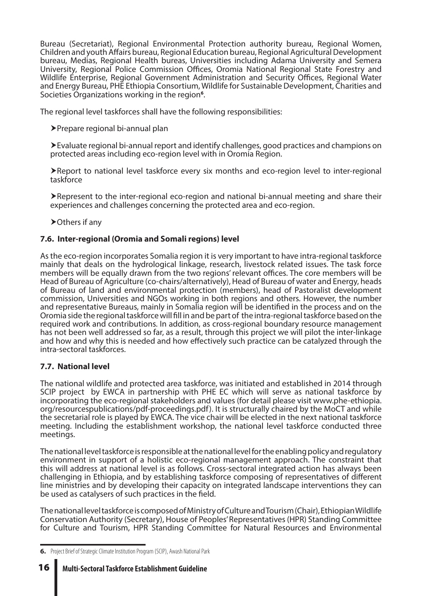Bureau (Secretariat), Regional Environmental Protection authority bureau, Regional Women, Children and youth Affairs bureau, Regional Education bureau, Regional Agricultural Development bureau, Medias, Regional Health bureas, Universities including Adama University and Semera University, Regional Police Commission Offices, Oromia National Regional State Forestry and Wildlife Enterprise, Regional Government Administration and Security Offices, Regional Water and Energy Bureau, PHE Ethiopia Consortium, Wildlife for Sustainable Development, Charities and Societies Organizations working in the region**<sup>6</sup>** .

The regional level taskforces shall have the following responsibilities:

Prepare regional bi-annual plan

Evaluate regional bi-annual report and identify challenges, good practices and champions on protected areas including eco-region level with in Oromia Region.

Report to national level taskforce every six months and eco-region level to inter-regional taskforce

Represent to the inter-regional eco-region and national bi-annual meeting and share their experiences and challenges concerning the protected area and eco-region.

▶ Others if any

#### **7.6. Inter-regional (Oromia and Somali regions) level**

As the eco-region incorporates Somalia region it is very important to have intra-regional taskforce mainly that deals on the hydrological linkage, research, livestock related issues. The task force members will be equally drawn from the two regions' relevant offices. The core members will be Head of Bureau of Agriculture (co-chairs/alternatively), Head of Bureau of water and Energy, heads of Bureau of land and environmental protection (members), head of Pastoralist development commission, Universities and NGOs working in both regions and others. However, the number and representative Bureaus, mainly in Somalia region will be identified in the process and on the Oromia side the regional taskforce will fill in and be part of the intra-regional taskforce based on the required work and contributions. In addition, as cross-regional boundary resource management has not been well addressed so far, as a result, through this project we will pilot the inter-linkage and how and why this is needed and how effectively such practice can be catalyzed through the intra-sectoral taskforces.

#### **7.7. National level**

The national wildlife and protected area taskforce, was initiated and established in 2014 through SCIP project by EWCA in partnership with PHE EC which will serve as national taskforce by incorporating the eco-regional stakeholders and values (for detail please visit www.phe-ethiopia. org/resourcespublications/pdf-proceedings.pdf). It is structurally chaired by the MoCT and while the secretarial role is played by EWCA. The vice chair will be elected in the next national taskforce meeting. Including the establishment workshop, the national level taskforce conducted three meetings.

The national level taskforce is responsible at the national level for the enabling policy and regulatory environment in support of a holistic eco-regional management approach. The constraint that this will address at national level is as follows. Cross-sectoral integrated action has always been challenging in Ethiopia, and by establishing taskforce composing of representatives of different line ministries and by developing their capacity on integrated landscape interventions they can be used as catalysers of such practices in the field.

The national level taskforce is composed of Ministry of Culture and Tourism (Chair), Ethiopian Wildlife Conservation Authority (Secretary), House of Peoples' Representatives (HPR) Standing Committee for Culture and Tourism, HPR Standing Committee for Natural Resources and Environmental

**<sup>6.</sup>** Project Brief of Strategic Climate Institution Program (SCIP), Awash National Park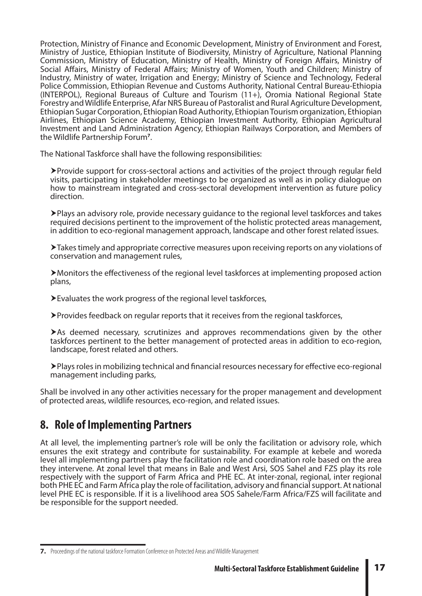Protection, Ministry of Finance and Economic Development, Ministry of Environment and Forest, Ministry of Justice, Ethiopian Institute of Biodiversity, Ministry of Agriculture, National Planning Commission, Ministry of Education, Ministry of Health, Ministry of Foreign Affairs, Ministry of Social Affairs, Ministry of Federal Affairs; Ministry of Women, Youth and Children; Ministry of Industry, Ministry of water, Irrigation and Energy; Ministry of Science and Technology, Federal Police Commission, Ethiopian Revenue and Customs Authority, National Central Bureau-Ethiopia (INTERPOL), Regional Bureaus of Culture and Tourism (11+), Oromia National Regional State Forestry and Wildlife Enterprise, Afar NRS Bureau of Pastoralist and Rural Agriculture Development, Ethiopian Sugar Corporation, Ethiopian Road Authority, Ethiopian Tourism organization, Ethiopian Airlines, Ethiopian Science Academy, Ethiopian Investment Authority, Ethiopian Agricultural Investment and Land Administration Agency, Ethiopian Railways Corporation, and Members of the Wildlife Partnership Forum**<sup>7</sup>** .

The National Taskforce shall have the following responsibilities:

Provide support for cross-sectoral actions and activities of the project through regular field visits, participating in stakeholder meetings to be organized as well as in policy dialogue on how to mainstream integrated and cross-sectoral development intervention as future policy direction.

Plays an advisory role, provide necessary guidance to the regional level taskforces and takes required decisions pertinent to the improvement of the holistic protected areas management, in addition to eco-regional management approach, landscape and other forest related issues.

Takes timely and appropriate corrective measures upon receiving reports on any violations of conservation and management rules,

Monitors the effectiveness of the regional level taskforces at implementing proposed action plans,

Evaluates the work progress of the regional level taskforces,

Provides feedback on regular reports that it receives from the regional taskforces,

As deemed necessary, scrutinizes and approves recommendations given by the other taskforces pertinent to the better management of protected areas in addition to eco-region, landscape, forest related and others.

Plays roles in mobilizing technical and financial resources necessary for effective eco-regional management including parks,

Shall be involved in any other activities necessary for the proper management and development of protected areas, wildlife resources, eco-region, and related issues.

### **8. Role of Implementing Partners**

At all level, the implementing partner's role will be only the facilitation or advisory role, which ensures the exit strategy and contribute for sustainability. For example at kebele and woreda level all implementing partners play the facilitation role and coordination role based on the area they intervene. At zonal level that means in Bale and West Arsi, SOS Sahel and FZS play its role respectively with the support of Farm Africa and PHE EC. At inter-zonal, regional, inter regional both PHE EC and Farm Africa play the role of facilitation, advisory and financial support. At national level PHE EC is responsible. If it is a livelihood area SOS Sahele/Farm Africa/FZS will facilitate and be responsible for the support needed.

**<sup>7.</sup>** Proceedings of the national taskforce Formation Conference on Protected Areas and Wildlife Management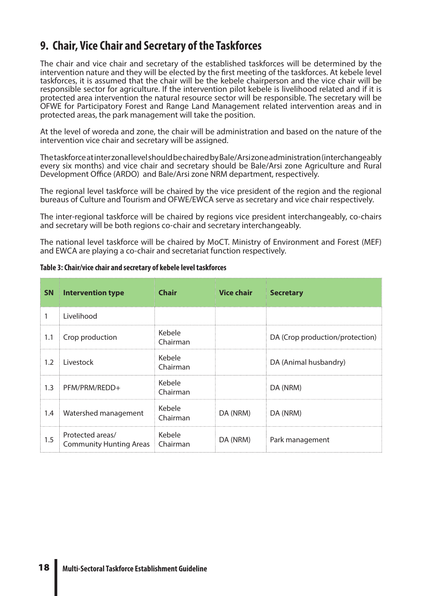### **9. Chair, Vice Chair and Secretary of the Taskforces**

The chair and vice chair and secretary of the established taskforces will be determined by the intervention nature and they will be elected by the first meeting of the taskforces. At kebele level taskforces, it is assumed that the chair will be the kebele chairperson and the vice chair will be responsible sector for agriculture. If the intervention pilot kebele is livelihood related and if it is protected area intervention the natural resource sector will be responsible. The secretary will be OFWE for Participatory Forest and Range Land Management related intervention areas and in protected areas, the park management will take the position.

At the level of woreda and zone, the chair will be administration and based on the nature of the intervention vice chair and secretary will be assigned.

The taskforce at inter zonal level should be chaired by Bale/Arsi zone administration (interchangeably every six months) and vice chair and secretary should be Bale/Arsi zone Agriculture and Rural Development Office (ARDO) and Bale/Arsi zone NRM department, respectively.

The regional level taskforce will be chaired by the vice president of the region and the regional bureaus of Culture and Tourism and OFWE/EWCA serve as secretary and vice chair respectively.

The inter-regional taskforce will be chaired by regions vice president interchangeably, co-chairs and secretary will be both regions co-chair and secretary interchangeably.

The national level taskforce will be chaired by MoCT. Ministry of Environment and Forest (MEF) and EWCA are playing a co-chair and secretariat function respectively.

|     | <b>SN</b> Intervention type                        | <b>Chair</b>       | <b>Vice chair</b> | <b>Secretary</b>                |
|-----|----------------------------------------------------|--------------------|-------------------|---------------------------------|
| 1   | Livelihood                                         |                    |                   |                                 |
| 1.1 | Crop production                                    | Kebele<br>Chairman |                   | DA (Crop production/protection) |
| 1.2 | Livestock                                          | Kebele<br>Chairman |                   | DA (Animal husbandry)           |
| 1.3 | PFM/PRM/REDD+                                      | Kebele<br>Chairman |                   | DA (NRM)                        |
| 1.4 | Watershed management                               | Kebele<br>Chairman | DA (NRM)          | DA (NRM)                        |
| 1.5 | Protected areas/<br><b>Community Hunting Areas</b> | Kebele<br>Chairman | DA (NRM)          | Park management                 |

**Table 3: Chair/vice chair and secretary of kebele level taskforces**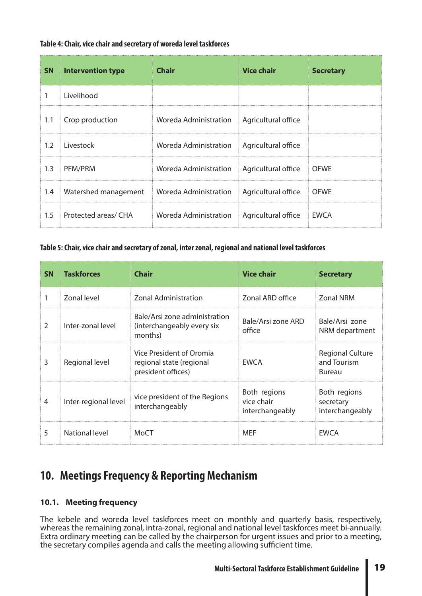#### **Table 4: Chair, vice chair and secretary of woreda level taskforces**

|     | <b>SN</b> Intervention type | <b>Chair</b>          | <b>Vice chair</b>          | <b>Secretary</b> |
|-----|-----------------------------|-----------------------|----------------------------|------------------|
|     | Livelihood                  |                       |                            |                  |
| 1.1 | Crop production             | Woreda Administration | Agricultural office        |                  |
| 1.2 | Livestock                   | Woreda Administration | Agricultural office        |                  |
| 1.3 | PFM/PRM                     | Woreda Administration | Agricultural office   OFWE |                  |
| 1.4 | Watershed management        | Woreda Administration | Agricultural office        | <b>OFWE</b>      |
| 1.5 | Protected areas/ CHA        | Woreda Administration | Agricultural office        | <b>EWCA</b>      |

#### **Table 5: Chair, vice chair and secretary of zonal, inter zonal, regional and national level taskforces**

| <b>SN</b>      | <b>Taskforces</b>    | Chair                                                                      | <b>Vice chair</b>                             | <b>Secretary</b>                                 |
|----------------|----------------------|----------------------------------------------------------------------------|-----------------------------------------------|--------------------------------------------------|
|                | Zonal level          | <b>Zonal Administration</b>                                                | Zonal ARD office                              | <b>Zonal NRM</b>                                 |
| $\overline{2}$ | Inter-zonal level    | Bale/Arsi zone administration<br>(interchangeably every six<br>months)     | Bale/Arsi zone ARD<br>office                  | Bale/Arsi zone<br>NRM department                 |
| 3              | Regional level       | Vice President of Oromia<br>regional state (regional<br>president offices) | <b>EWCA</b>                                   | <b>Regional Culture</b><br>and Tourism<br>Bureau |
| 4              | Inter-regional level | vice president of the Regions<br>interchangeably                           | Both regions<br>vice chair<br>interchangeably | Both regions<br>secretary<br>interchangeably     |
| 5              | National level       | MoCT                                                                       | <b>MEF</b>                                    | <b>EWCA</b>                                      |

### **10. Meetings Frequency & Reporting Mechanism**

#### **10.1. Meeting frequency**

The kebele and woreda level taskforces meet on monthly and quarterly basis, respectively, whereas the remaining zonal, intra-zonal, regional and national level taskforces meet bi-annually. Extra ordinary meeting can be called by the chairperson for urgent issues and prior to a meeting, the secretary compiles agenda and calls the meeting allowing sufficient time.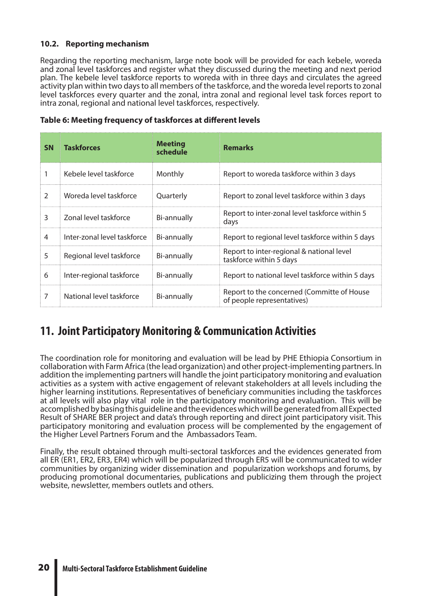#### **10.2. Reporting mechanism**

Regarding the reporting mechanism, large note book will be provided for each kebele, woreda and zonal level taskforces and register what they discussed during the meeting and next period plan. The kebele level taskforce reports to woreda with in three days and circulates the agreed activity plan within two days to all members of the taskforce, and the woreda level reports to zonal level taskforces every quarter and the zonal, intra zonal and regional level task forces report to intra zonal, regional and national level taskforces, respectively.

| <b>SN</b>      | <b>Taskforces</b>           | <b>Meeting</b><br>schedule | <b>Remarks</b>                                                           |
|----------------|-----------------------------|----------------------------|--------------------------------------------------------------------------|
|                | Kebele level taskforce      | Monthly                    | Report to woreda taskforce within 3 days                                 |
| $\overline{2}$ | Woreda level taskforce      | Quarterly                  | Report to zonal level taskforce within 3 days                            |
| 3              | Zonal level taskforce       | Bi-annually                | Report to inter-zonal level taskforce within 5<br>days                   |
| 4              | Inter-zonal level taskforce | Bi-annually                | Report to regional level taskforce within 5 days                         |
| 5              | Regional level taskforce    | Bi-annually                | Report to inter-regional & national level<br>taskforce within 5 days     |
| 6              | Inter-regional taskforce    | Bi-annually                | Report to national level taskforce within 5 days                         |
| 7              | National level taskforce    | Bi-annually                | Report to the concerned (Committe of House<br>of people representatives) |

#### **Table 6: Meeting frequency of taskforces at different levels**

### **11. Joint Participatory Monitoring & Communication Activities**

The coordination role for monitoring and evaluation will be lead by PHE Ethiopia Consortium in collaboration with Farm Africa (the lead organization) and other project-implementing partners. In addition the implementing partners will handle the joint participatory monitoring and evaluation activities as a system with active engagement of relevant stakeholders at all levels including the higher learning institutions. Representatives of beneficiary communities including the taskforces at all levels will also play vital role in the participatory monitoring and evaluation. This will be accomplished by basing this guideline and the evidences which will be generated from all Expected Result of SHARE BER project and data's through reporting and direct joint participatory visit. This participatory monitoring and evaluation process will be complemented by the engagement of the Higher Level Partners Forum and the Ambassadors Team.

Finally, the result obtained through multi-sectoral taskforces and the evidences generated from all ER (ER1, ER2, ER3, ER4) which will be popularized through ER5 will be communicated to wider communities by organizing wider dissemination and popularization workshops and forums, by producing promotional documentaries, publications and publicizing them through the project website, newsletter, members outlets and others.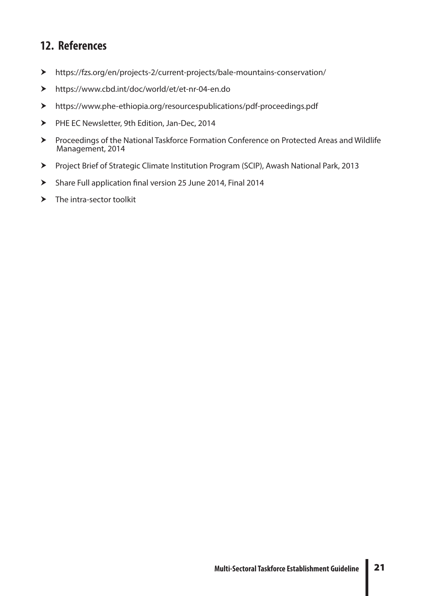### **12. References**

- https://fzs.org/en/projects-2/current-projects/bale-mountains-conservation/
- https://www.cbd.int/doc/world/et/et-nr-04-en.do
- https://www.phe-ethiopia.org/resourcespublications/pdf-proceedings.pdf
- PHE EC Newsletter, 9th Edition, Jan-Dec, 2014
- Proceedings of the National Taskforce Formation Conference on Protected Areas and Wildlife Management, 2014
- Project Brief of Strategic Climate Institution Program (SCIP), Awash National Park, 2013
- Share Full application final version 25 June 2014, Final 2014
- $\blacktriangleright$  The intra-sector toolkit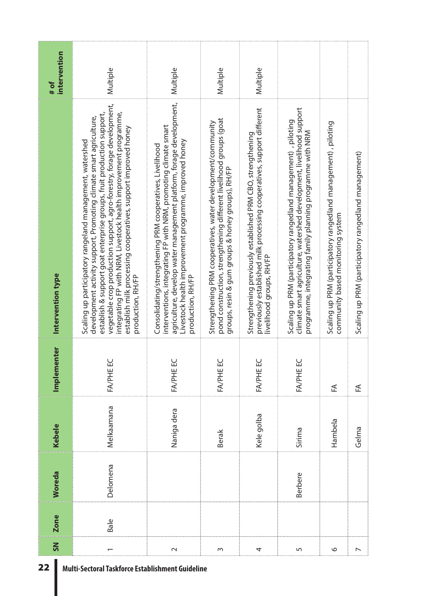| <b>Zone</b> | Woreda         | Kebele      | Implementer | Intervention type                                                                                                                                                                                                                                                                                                                                                                                                                           | intervention<br># of |
|-------------|----------------|-------------|-------------|---------------------------------------------------------------------------------------------------------------------------------------------------------------------------------------------------------------------------------------------------------------------------------------------------------------------------------------------------------------------------------------------------------------------------------------------|----------------------|
|             | Delomena       | Melkaamana  | FA/PHE EC   | vegetable crop production support, agro-forestry, forage development,<br>establish & support goat enterprise groups, fruit production support,<br>integrating FP with NRM, Livestock health improvement programme,<br>development activity support, Promoting climate smart agriculture,<br>establish milk processing cooperatives, support improved honey<br>Scaling up participatory rangeland management, watershed<br>production, RH/FP | Multiple             |
|             |                | Naniga dera | FA/PHE EC   | agriculture, develop water management platform, forage development,<br>interventions, integrating FP with NRM, promoting climate smart<br>Livestock health improvement programme, improved honey<br>Consolidating/strengthening PRM cooperatives, Livelihood<br>production, RH/FP                                                                                                                                                           | Multiple             |
|             |                | Berak       | FA/PHE EC   | pond construction, strengthening different livelihood groups (goat<br>Strengthening PRM cooperatives, water development/community<br>groups, resin & gum groups & honey groups), RH/FP                                                                                                                                                                                                                                                      | Multiple             |
|             |                | Kele golba  | FA/PHE EC   | previously established milk processing cooperatives, support different<br>Strengthening previously established PRM CBO, strengthening<br>livelihood groups, RH/FP                                                                                                                                                                                                                                                                           | Multiple             |
|             | <b>Berbere</b> | Sirima      | FA/PHE EC   | climate smart agriculture, watershed development, livelihood support<br>Scaling up PRM (participatory rangedland management), piloting<br>programme, integrating family planning programme with NRM                                                                                                                                                                                                                                         |                      |
|             |                | Hambela     | 氐           | Scaling up PRM (participatory rangedland management), piloting<br>community based monitoring system                                                                                                                                                                                                                                                                                                                                         |                      |
|             |                | Gelma       | 氐           | Scaling up PRM (participatory rangedland management)                                                                                                                                                                                                                                                                                                                                                                                        |                      |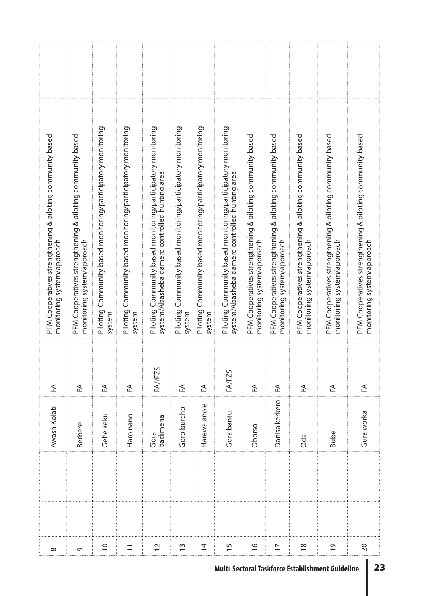| $\infty$        | Awash Kolati     | "∃      | PFM Cooperatives strengthening & piloting community based<br>monitoring system/approach                        |  |
|-----------------|------------------|---------|----------------------------------------------------------------------------------------------------------------|--|
| G               | <b>Berbere</b>   | 任       | PFM Cooperatives strengthening & piloting community based<br>monitoring system/approach                        |  |
| $\overline{C}$  | Gebe keku        | 氐       | Piloting Community based monitoring/participatory monitoring<br>system                                         |  |
| $\overline{-}$  | Haro nano        | ₹       | Piloting Community based monitoring/participatory monitoring<br>system                                         |  |
| $\overline{C}$  | badimena<br>Gora | FA//FZS | Piloting Community based monitoring/participatory monitoring<br>system/Abasheba damero controlled hunting area |  |
| $\frac{3}{2}$   | Goro burcho      | 준       | Piloting Community based monitoring/participatory monitoring<br>system                                         |  |
| $\overline{4}$  | Harewa anole     | 氐       | Piloting Community based monitoring/participatory monitoring<br>system                                         |  |
| $\overline{15}$ | Gora bantu       | FA/FZS  | Piloting Community based monitoring/participatory monitoring<br>system/Abasheba damero controlled hunting area |  |
| $\frac{6}{1}$   | Oborso           | ₹       | PFM Cooperatives strengthening & piloting community based<br>monitoring system/approach                        |  |
| $\overline{17}$ | Danisa kerkero   | ₹       | PFM Cooperatives strengthening & piloting community based<br>monitoring system/approach                        |  |
| $\frac{8}{1}$   | Oda              | ₹       | PFM Cooperatives strengthening & piloting community based<br>monitoring system/approach                        |  |
| $\overline{0}$  | <b>Bube</b>      | 氐       | PFM Cooperatives strengthening & piloting community based<br>monitoring system/approach                        |  |
| $\overline{20}$ | Gura worka       | ₹       | PFM Cooperatives strengthening & piloting community based<br>monitoring system/approach                        |  |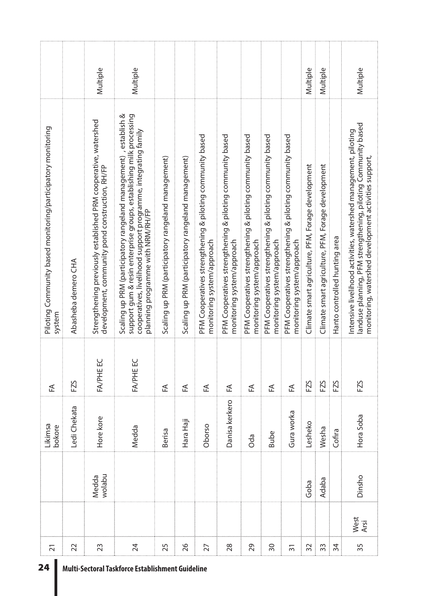| 24                                               |                 |              |                 | Likimsa        |           | Piloting Community based monitoring/participatory monitoring                                                                                                                                                                                   |          |
|--------------------------------------------------|-----------------|--------------|-----------------|----------------|-----------|------------------------------------------------------------------------------------------------------------------------------------------------------------------------------------------------------------------------------------------------|----------|
|                                                  | $\overline{2}1$ |              |                 | bokore         | 氐         | system                                                                                                                                                                                                                                         |          |
|                                                  | 22              |              |                 | Ledi Chekata   | FZS       | Abasheba demero CHA                                                                                                                                                                                                                            |          |
|                                                  | 23              |              | wolabu<br>Medda | Hore kore      | FA/PHE EC | Strengthening previously established PRM cooperative, watershed<br>development, community pond construction, RH/FP                                                                                                                             | Multiple |
| Multi-Sectoral Taskforce Establishment Guideline | 24              |              |                 | Medda          | FA/PHE EC | Scaling up PRM (participatory rangeland management), establish &<br>support gum & resin enterprise groups, establishing milk processing<br>cooperatives, livelihood support programme, integrating family<br>planning programme with NRM/RH/FP | Multiple |
|                                                  | 25              |              |                 | Berisa         | 氐         | Scaling up PRM (participatory rangeland management)                                                                                                                                                                                            |          |
|                                                  | 26              |              |                 | Hara Haji      | ₹         | Scaling up PRM (participatory rangeland management)                                                                                                                                                                                            |          |
|                                                  | 27              |              |                 | Oborso         | 迁         | PFM Cooperatives strengthening & piloting community based<br>monitoring system/approach                                                                                                                                                        |          |
|                                                  | 28              |              |                 | Danisa kerkero | ₹         | PFM Cooperatives strengthening & piloting community based<br>monitoring system/approach                                                                                                                                                        |          |
|                                                  | 29              |              |                 | Oda            | ₹         | PFM Cooperatives strengthening & piloting community based<br>monitoring system/approach                                                                                                                                                        |          |
|                                                  | $\overline{50}$ |              |                 | <b>Bube</b>    | 氐         | PFM Cooperatives strengthening & piloting community based<br>monitoring system/approach                                                                                                                                                        |          |
|                                                  | $\overline{5}$  |              |                 | Gura worka     | 氐         | PFM Cooperatives strengthening & piloting community based<br>monitoring system/approach                                                                                                                                                        |          |
|                                                  | 32              |              | Goba            | Lesheko        | FZS       | Climate smart agriculture, PFM, Forage development                                                                                                                                                                                             | Multiple |
|                                                  | 33              |              | Adaba           | Wesha          | FZS       | Climate smart agriculture, PFM, Forage development                                                                                                                                                                                             | Multiple |
|                                                  | 34              |              |                 | Cofira         | FZS       | Hanto controlled hunting area                                                                                                                                                                                                                  |          |
|                                                  | 35              | West<br>Arsi | Dinsho          | Hora Soba      | FZS       | landuse planning, PFM strengthening, piloting Community based<br>Intensive livelihood activities, watershed management, piloting<br>monitoring, watershed development activities support,                                                      | Multiple |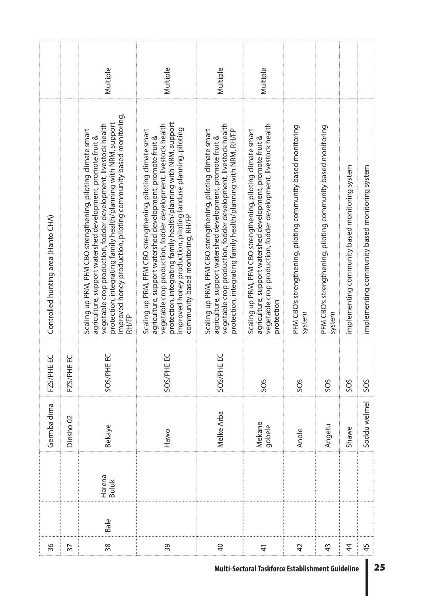|                                     |                      | Multiple                                                                                                                                                                                                                                                                                                                                        | Multiple                                                                                                                                                                                                                                                                                                                                                                   | Multiple                                                                                                                                                                                                                                                          | Multiple                                                                                                                                                                                                      |                                                                        |                                                                        |                                                |                                                |
|-------------------------------------|----------------------|-------------------------------------------------------------------------------------------------------------------------------------------------------------------------------------------------------------------------------------------------------------------------------------------------------------------------------------------------|----------------------------------------------------------------------------------------------------------------------------------------------------------------------------------------------------------------------------------------------------------------------------------------------------------------------------------------------------------------------------|-------------------------------------------------------------------------------------------------------------------------------------------------------------------------------------------------------------------------------------------------------------------|---------------------------------------------------------------------------------------------------------------------------------------------------------------------------------------------------------------|------------------------------------------------------------------------|------------------------------------------------------------------------|------------------------------------------------|------------------------------------------------|
| Controlled hunting area (Hanto CHA) |                      | improved honey production, piloting community based monitoring,<br>protection, integrating family health/planning with NRM, support<br>vegetable crop production, fodder development, livestock health<br>Scaling up PRM, PFM CBO strengthening, piloting climate smart<br>agriculture, support watershed development, promote fruit &<br>RH/FP | protection, integrating family health/planning with NRM, support<br>vegetable crop production, fodder development, livestock health<br>improved honey production, piloting landuse planning, piloting<br>community based monitoring, RH/FP<br>Scaling up PRM, PFM CBO strengthening, piloting climate smart<br>agriculture, support watershed development, promote fruit & | vegetable crop production, fodder development, livestock health<br>protection, integrating family health/planning with NRM, RH/FP<br>Scaling up PRM, PFM CBO strengthening, piloting climate smart<br>agriculture, support watershed development, promote fruit & | vegetable crop production, fodder development, livestock health<br>Scaling up PRM, PFM CBO strengthening, piloting climate smart<br>agriculture, support watershed development, promote fruit &<br>protection | PFM CBO's strengthening, piloting community based monitoring<br>system | PFM CBO's strengthening, piloting community based monitoring<br>system | implementing community based monitoring system | implementing community based monitoring system |
| FZS/PHE EC                          | FZS/PHE EC           | SOS/PHE EC                                                                                                                                                                                                                                                                                                                                      | SOS/PHE EC                                                                                                                                                                                                                                                                                                                                                                 | SOS/PHE EC                                                                                                                                                                                                                                                        | SOS                                                                                                                                                                                                           | SOS                                                                    | SOS                                                                    | SOS                                            | SOS                                            |
| Germba dima                         | Dinsho <sub>02</sub> | <b>Bekaye</b>                                                                                                                                                                                                                                                                                                                                   | Hawo                                                                                                                                                                                                                                                                                                                                                                       | Melke Arba                                                                                                                                                                                                                                                        | Mekane<br>gobele                                                                                                                                                                                              | Anole                                                                  | Angetu                                                                 | Shawe                                          | Soddu welmel                                   |
|                                     |                      | Harena<br>Buluk                                                                                                                                                                                                                                                                                                                                 |                                                                                                                                                                                                                                                                                                                                                                            |                                                                                                                                                                                                                                                                   |                                                                                                                                                                                                               |                                                                        |                                                                        |                                                |                                                |
|                                     |                      | Bale                                                                                                                                                                                                                                                                                                                                            |                                                                                                                                                                                                                                                                                                                                                                            |                                                                                                                                                                                                                                                                   |                                                                                                                                                                                                               |                                                                        |                                                                        |                                                |                                                |
| 36                                  | 37                   | 38                                                                                                                                                                                                                                                                                                                                              | 39                                                                                                                                                                                                                                                                                                                                                                         | $\overline{a}$                                                                                                                                                                                                                                                    | $\frac{4}{3}$                                                                                                                                                                                                 | $\overline{4}$                                                         | $\frac{3}{4}$                                                          | 4                                              | 45                                             |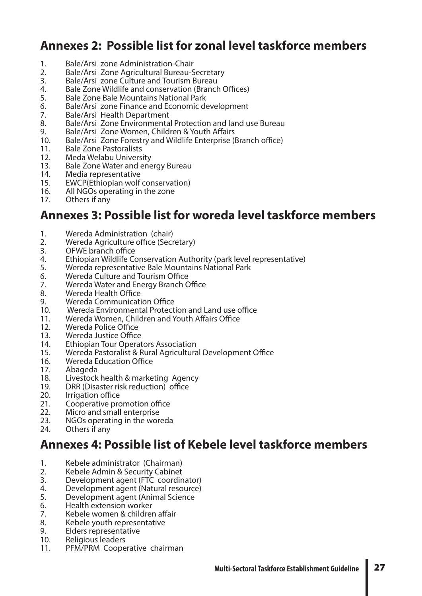### **Annexes 2: Possible list for zonal level taskforce members**

- 1. Bale/Arsi zone Administration-Chair
- 2. Bale/Arsi Zone Agricultural Bureau-Secretary<br>3. Bale/Arsi zone Culture and Tourism Bureau
- 3. Bale/Arsi zone Culture and Tourism Bureau<br>4. Bale Zone Wildlife and conservation (Branch
- 4. Bale Zone Wildlife and conservation (Branch Offices)<br>5. Bale Zone Bale Mountains National Park
- 5. Bale Zone Bale Mountains National Park<br>6. Bale/Arsi zone Finance and Economic de
- 6. Bale/Arsi zone Finance and Economic development<br>7. Bale/Arsi Health Department
- 7. Bale/Arsi Health Department<br>8. Bale/Arsi Zone Environmenta
- 8. Bale/Arsi Zone Environmental Protection and land use Bureau<br>9. Bale/Arsi Zone Women, Children & Youth Affairs
- 9. Bale/Arsi Zone Women, Children & Youth Affairs
- 10. Bale/Arsi Zone Forestry and Wildlife Enterprise (Branch office)
- 11. Bale Zone Pastoralists
- 12. Meda Welabu University<br>13. Bale Zone Water and ene
- 13. Bale Zone Water and energy Bureau<br>14. Media representative
- 14. Media representative<br>15. EWCP(Ethiopian wolf
- 15. EWCP(Ethiopian wolf conservation)<br>16. All NGOs operating in the zone
- 16. All NGOs operating in the zone<br>17. Others if any
- Others if any

### **Annexes 3: Possible list for woreda level taskforce members**

- 1. Wereda Administration (chair)
- 2. Wereda Agriculture office (Secretary)
- 3. OFWE branch office<br>4. Ethiopian Wildlife Co
- 4. Ethiopian Wildlife Conservation Authority (park level representative)<br>5. Wereda representative Bale Mountains National Park
- 5. Wereda representative Bale Mountains National Park
- 6. Wereda Culture and Tourism Office<br>7. Wereda Water and Energy Branch C
- 7. Wereda Water and Energy Branch Office
- 8. Wereda Health Office
- 9. Wereda Communication Office
- 10. Wereda Environmental Protection and Land use office
- 11. Wereda Women, Children and Youth Affairs Office
- 12. Wereda Police Office
- 13. Wereda Justice Office<br>14. Fthiopian Tour Operat
- 14. Ethiopian Tour Operators Association<br>15. Wereda Pastoralist & Rural Agricultura
- 15. Wereda Pastoralist & Rural Agricultural Development Office
- 16. Wereda Education Office<br>17. Abageda
- 17. Abageda<br>18. Livestock
- 18. Livestock health & marketing Agency<br>19. DRR (Disaster risk reduction) office
- DRR (Disaster risk reduction) office
- 20. Irrigation office
- 21. Cooperative promotion office<br>22. Micro and small enterprise
- Micro and small enterprise
- 23. NGOs operating in the woreda<br>24. Others if anv
- Others if any

### **Annexes 4: Possible list of Kebele level taskforce members**

- 1. Kebele administrator (Chairman)<br>2. Kebele Admin & Security Cabinet
- 2. Kebele Admin & Security Cabinet<br>3. Development agent (FTC coordin
- Development agent (FTC coordinator)
- 4. Development agent (Natural resource)<br>5. Development agent (Animal Science
- Development agent (Animal Science
- 6. Health extension worker<br>7. Kebele women & childrei
- 7. Kebele women & children affair<br>8. Kebele vouth representative
- 8. Kebele youth representative<br>9. Flders representative
- Elders representative<br>Religious leaders
- 
- 10. Religious leaders<br>11. PFM/PRM Cooperative chairman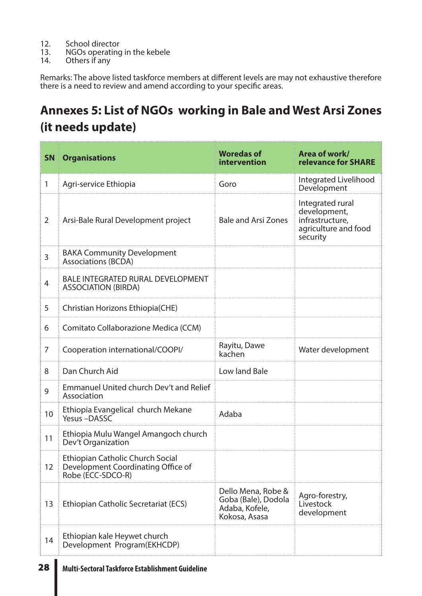- 12. School director<br>13. NGOs operating
- 13. NGOs operating in the kebele<br>14. Others if any
- Others if any

Remarks: The above listed taskforce members at different levels are may not exhaustive therefore there is a need to review and amend according to your specific areas.

## **Annexes 5: List of NGOs working in Bale and West Arsi Zones (it needs update)**

| <b>SN</b>      | <b>Organisations</b>                                                                               | <b>Woredas of</b><br>intervention                                            | Area of work/<br>relevance for SHARE                                                    |
|----------------|----------------------------------------------------------------------------------------------------|------------------------------------------------------------------------------|-----------------------------------------------------------------------------------------|
| 1              | Agri-service Ethiopia                                                                              | Goro                                                                         | Integrated Livelihood<br>Development                                                    |
| $\overline{2}$ | Arsi-Bale Rural Development project                                                                | <b>Bale and Arsi Zones</b>                                                   | Integrated rural<br>development,<br>infrastructure,<br>agriculture and food<br>security |
| $\mathsf{3}$   | <b>BAKA Community Development</b><br><b>Associations (BCDA)</b>                                    |                                                                              |                                                                                         |
| $\overline{4}$ | <b>BALE INTEGRATED RURAL DEVELOPMENT</b><br><b>ASSOCIATION (BIRDA)</b>                             |                                                                              |                                                                                         |
| 5              | Christian Horizons Ethiopia(CHE)                                                                   |                                                                              |                                                                                         |
| 6              | Comitato Collaborazione Medica (CCM)                                                               |                                                                              |                                                                                         |
| 7              | Cooperation international/COOPI/                                                                   | Rayitu, Dawe<br>kachen                                                       | Water development                                                                       |
| 8              | Dan Church Aid                                                                                     | Low land Bale                                                                |                                                                                         |
| 9              | <b>Emmanuel United church Dev't and Relief</b><br>Association                                      |                                                                              |                                                                                         |
| 10             | Ethiopia Evangelical church Mekane<br>Yesus -DASSC                                                 | Adaba                                                                        |                                                                                         |
| 11             | Ethiopia Mulu Wangel Amangoch church<br>Dev't Organization                                         |                                                                              |                                                                                         |
| 12             | <b>Ethiopian Catholic Church Social</b><br>Development Coordinating Office of<br>Robe (ECC-SDCO-R) |                                                                              |                                                                                         |
| 13             | Ethiopian Catholic Secretariat (ECS)                                                               | Dello Mena, Robe &<br>Goba (Bale), Dodola<br>Adaba, Kofele,<br>Kokosa, Asasa | Agro-forestry,<br>Livestock<br>development                                              |
| 14             | Ethiopian kale Heywet church<br>Development Program(EKHCDP)                                        |                                                                              |                                                                                         |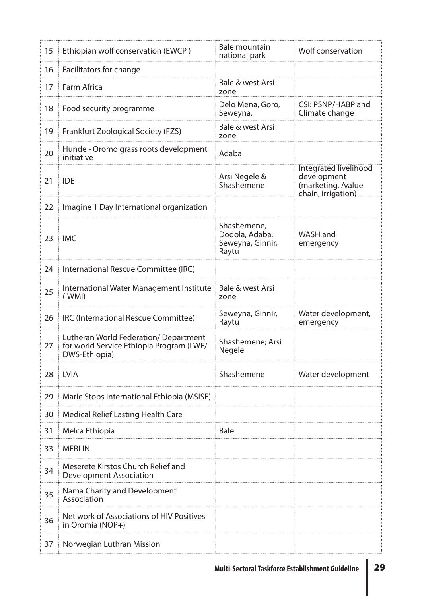| 15 | Ethiopian wolf conservation (EWCP)                                                                | Bale mountain<br>national park                             | Wolf conservation                                                                |
|----|---------------------------------------------------------------------------------------------------|------------------------------------------------------------|----------------------------------------------------------------------------------|
| 16 | Facilitators for change                                                                           |                                                            |                                                                                  |
| 17 | Farm Africa                                                                                       | Bale & west Arsi<br>zone                                   |                                                                                  |
| 18 | Food security programme                                                                           | Delo Mena, Goro,<br>Seweyna.                               | CSI: PSNP/HABP and<br>Climate change                                             |
| 19 | Frankfurt Zoological Society (FZS)                                                                | Bale & west Arsi<br>zone                                   |                                                                                  |
| 20 | Hunde - Oromo grass roots development<br>initiative                                               | Adaba                                                      |                                                                                  |
| 21 | <b>IDE</b>                                                                                        | Arsi Negele &<br>Shashemene                                | Integrated livelihood<br>development<br>(marketing, /value<br>chain, irrigation) |
| 22 | Imagine 1 Day International organization                                                          |                                                            |                                                                                  |
| 23 | <b>IMC</b>                                                                                        | Shashemene,<br>Dodola, Adaba,<br>Seweyna, Ginnir,<br>Raytu | WASH and<br>emergency                                                            |
| 24 | International Rescue Committee (IRC)                                                              |                                                            |                                                                                  |
| 25 | International Water Management Institute<br>(IWMI)                                                | Bale & west Arsi<br>zone                                   |                                                                                  |
| 26 | IRC (International Rescue Committee)                                                              | Seweyna, Ginnir,<br>Raytu                                  | Water development,<br>emergency                                                  |
| 27 | Lutheran World Federation/Department<br>for world Service Ethiopia Program (LWF/<br>DWS-Ethiopia) | Shashemene; Arsi<br>Negele                                 |                                                                                  |
| 28 | <b>LVIA</b>                                                                                       | Shashemene                                                 | Water development                                                                |
| 29 | Marie Stops International Ethiopia (MSISE)                                                        |                                                            |                                                                                  |
| 30 | <b>Medical Relief Lasting Health Care</b>                                                         |                                                            |                                                                                  |
| 31 | Melca Ethiopia                                                                                    | <b>Bale</b>                                                |                                                                                  |
| 33 | <b>MERLIN</b>                                                                                     |                                                            |                                                                                  |
| 34 | Meserete Kirstos Church Relief and<br><b>Development Association</b>                              |                                                            |                                                                                  |
| 35 | Nama Charity and Development<br>Association                                                       |                                                            |                                                                                  |
| 36 | Net work of Associations of HIV Positives<br>in Oromia (NOP+)                                     |                                                            |                                                                                  |
| 37 | Norwegian Luthran Mission                                                                         |                                                            |                                                                                  |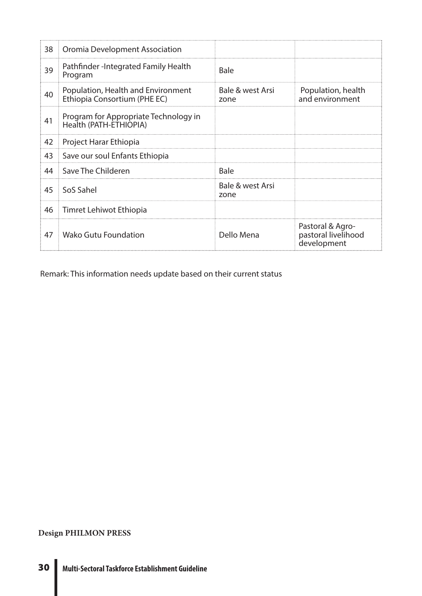| 38 | Oromia Development Association                                     |                          |                                                        |
|----|--------------------------------------------------------------------|--------------------------|--------------------------------------------------------|
| 39 | Pathfinder-Integrated Family Health<br>Program                     | <b>Bale</b>              |                                                        |
| 40 | Population, Health and Environment<br>Ethiopia Consortium (PHE EC) | Bale & west Arsi<br>zone | Population, health<br>and environment                  |
| 41 | Program for Appropriate Technology in<br>Health (PATH-ETHIOPIA)    |                          |                                                        |
| 42 | Project Harar Ethiopia                                             |                          |                                                        |
| 43 | Save our soul Enfants Ethiopia                                     |                          |                                                        |
| 44 | Save The Childeren                                                 | <b>Bale</b>              |                                                        |
| 45 | SoS Sahel                                                          | Bale & west Arsi<br>zone |                                                        |
| 46 | Timret Lehiwot Ethiopia                                            |                          |                                                        |
| 47 | Wako Gutu Foundation                                               | Dello Mena               | Pastoral & Agro-<br>pastoral livelihood<br>development |

Remark: This information needs update based on their current status

**Design PHILMON PRESS**